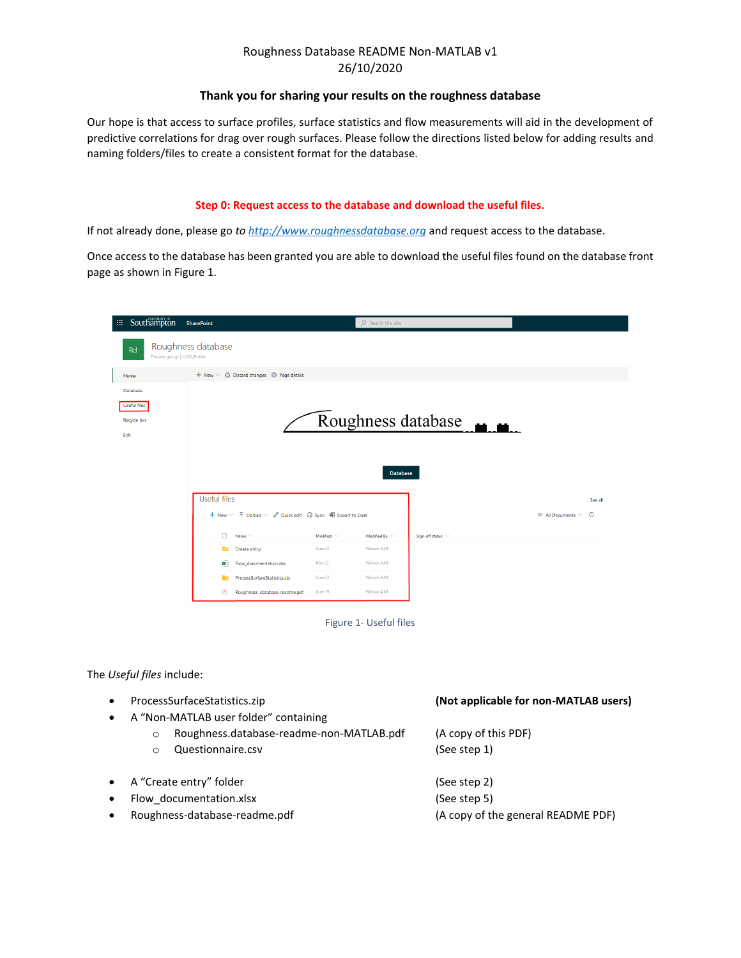#### **Thank you for sharing your results on the roughness database**

Our hope is that access to surface profiles, surface statistics and flow measurements will aid in the development of predictive correlations for drag over rough surfaces. Please follow the directions listed below for adding results and naming folders/files to create a consistent format for the database.

#### **Step 0: Request access to the database and download the useful files.**

If not already done, please go *t[o http://www.roughnessdatabase.org](http://www.roughnessdatabase.org/)* and request access to the database.

Once access to the database has been granted you are able to download the useful files found on the database front page as shown in Figure 1.

| Southampton<br>田川                               | <b>SharePoint</b>                                                                                                         | $\mathcal{P}$ Search this site        |                        |                                                     |  |  |  |
|-------------------------------------------------|---------------------------------------------------------------------------------------------------------------------------|---------------------------------------|------------------------|-----------------------------------------------------|--|--|--|
| Rd<br>Private group   UOS_Public                | Roughness database                                                                                                        |                                       |                        |                                                     |  |  |  |
| Home                                            | $+$ New $\vee$ $\mathbb{Z}$ Discard changes $\mathbb{Q}$ Page details                                                     |                                       |                        |                                                     |  |  |  |
| Database<br>Useful files<br>Recycle bin<br>Edit | Roughness database<br><b>Database</b>                                                                                     |                                       |                        |                                                     |  |  |  |
|                                                 | Useful files<br>+ New $\vee$ $\bar{\uparrow}$ Upload $\vee$ $\varnothing$ Quick edit $\widehat{G}$ Sync 电 Export to Excel |                                       |                        | See all<br>$\odot$<br>$\equiv$ All Documents $\vee$ |  |  |  |
|                                                 | Name $\vee$                                                                                                               | Modified By $\sim$<br>Modified $\sim$ | Sign-off status $\vee$ |                                                     |  |  |  |
|                                                 | Create entry                                                                                                              | June 23<br>Nilsson A.M.               |                        |                                                     |  |  |  |
|                                                 | <b>RE</b><br>Flow_documentation.xlsx                                                                                      | Nilsson A.M.<br>May 22                |                        |                                                     |  |  |  |
|                                                 | ProcessSurfaceStatistics.zip<br><b>DO</b>                                                                                 | June 23<br>Nilsson A.M.               |                        |                                                     |  |  |  |
|                                                 | $\blacktriangleright$<br>Roughness-database-readme.pdf                                                                    | June 19<br>Nilsson A.M.               |                        |                                                     |  |  |  |



The *Useful files* include:

- ProcessSurfaceStatistics.zip **(Not applicable for non-MATLAB users)** • A "Non-MATLAB user folder" containing o Roughness.database-readme-non-MATLAB.pdf (A copy of this PDF)
	- o Questionnaire.csv (See step 1)
- A "Create entry" folder (See step 2)
- Flow documentation.xlsx (See step 5)
- 

• Roughness-database-readme.pdf (A copy of the general README PDF)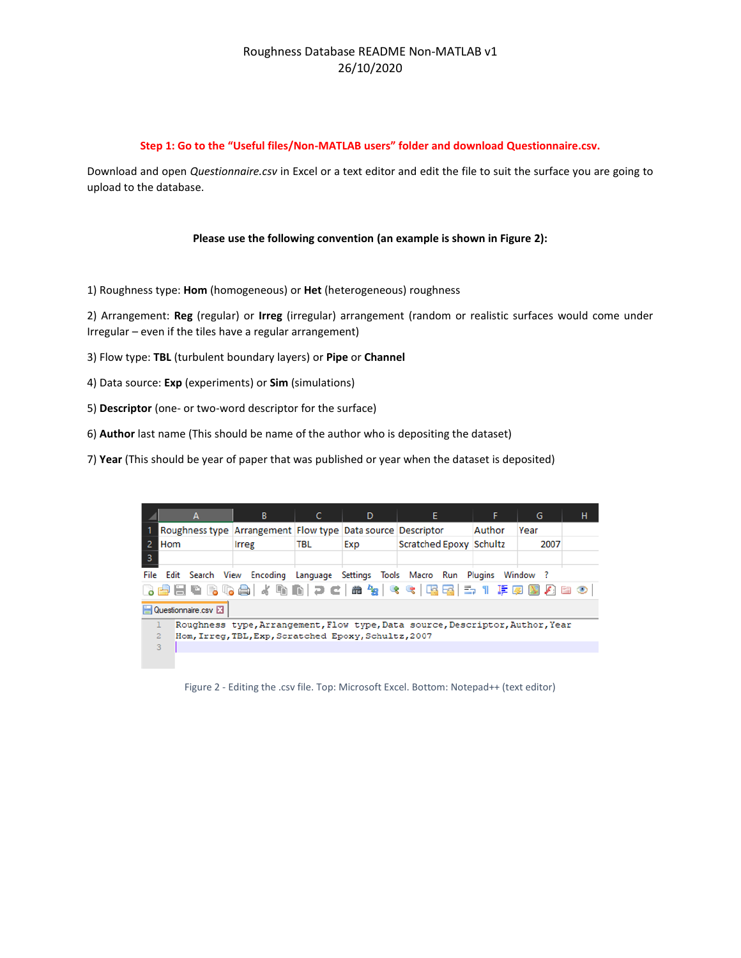#### **Step 1: Go to the "Useful files/Non-MATLAB users" folder and download Questionnaire.csv.**

Download and open *Questionnaire.csv* in Excel or a text editor and edit the file to suit the surface you are going to upload to the database.

#### **Please use the following convention (an example is shown in Figure 2):**

1) Roughness type: **Hom** (homogeneous) or **Het** (heterogeneous) roughness

2) Arrangement: **Reg** (regular) or **Irreg** (irregular) arrangement (random or realistic surfaces would come under Irregular – even if the tiles have a regular arrangement)

- 3) Flow type: **TBL** (turbulent boundary layers) or **Pipe** or **Channel**
- 4) Data source: **Exp** (experiments) or **Sim** (simulations)
- 5) **Descriptor** (one- or two-word descriptor for the surface)
- 6) **Author** last name (This should be name of the author who is depositing the dataset)
- 7) **Year** (This should be year of paper that was published or year when the dataset is deposited)

|                                                                                   | A                                                                             | в     |     | D   | Ε.                      | F      | G    | н |  |
|-----------------------------------------------------------------------------------|-------------------------------------------------------------------------------|-------|-----|-----|-------------------------|--------|------|---|--|
|                                                                                   | Roughness type Arrangement Flow type Data source Descriptor                   |       |     |     |                         | Author | Year |   |  |
| -2                                                                                | Hom                                                                           | Irreg | TBL | Exp | Scratched Epoxy Schultz |        | 2007 |   |  |
| 3                                                                                 |                                                                               |       |     |     |                         |        |      |   |  |
| File Edit Search View Encoding Language Settings Tools Macro Run Plugins Window ? |                                                                               |       |     |     |                         |        |      |   |  |
| BBBCBCA / 4 h n   2 c   # +x   < <   BBB   = 1   FØ   D   8   0                   |                                                                               |       |     |     |                         |        |      |   |  |
| Questionnaire.csv                                                                 |                                                                               |       |     |     |                         |        |      |   |  |
|                                                                                   | Roughness type, Arrangement, Flow type, Data source, Descriptor, Author, Year |       |     |     |                         |        |      |   |  |
|                                                                                   | $\overline{2}$<br>Hom, Irreq, TBL, Exp, Scratched Epoxy, Schultz, 2007        |       |     |     |                         |        |      |   |  |
|                                                                                   | 3                                                                             |       |     |     |                         |        |      |   |  |
|                                                                                   |                                                                               |       |     |     |                         |        |      |   |  |

Figure 2 - Editing the .csv file. Top: Microsoft Excel. Bottom: Notepad++ (text editor)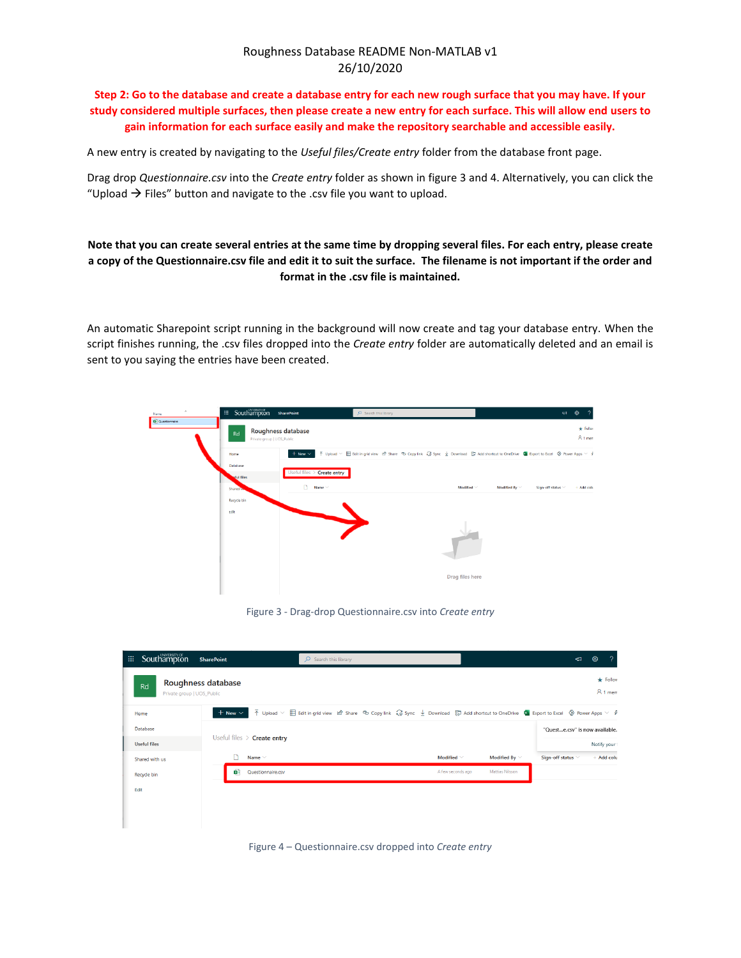**Step 2: Go to the database and create a database entry for each new rough surface that you may have. If your study considered multiple surfaces, then please create a new entry for each surface. This will allow end users to gain information for each surface easily and make the repository searchable and accessible easily.**

A new entry is created by navigating to the *Useful files/Create entry* folder from the database front page.

Drag drop *Questionnaire.csv* into the *Create entry* folder as shown in figure 3 and 4. Alternatively, you can click the "Upload  $\rightarrow$  Files" button and navigate to the .csv file you want to upload.

# **Note that you can create several entries at the same time by dropping several files. For each entry, please create a copy of the Questionnaire.csv file and edit it to suit the surface. The filename is not important if the order and format in the .csv file is maintained.**

An automatic Sharepoint script running in the background will now create and tag your database entry. When the script finishes running, the .csv files dropped into the *Create entry* folder are automatically deleted and an email is sent to you saying the entries have been created.



#### Figure 3 - Drag-drop Questionnaire.csv into *Create entry*



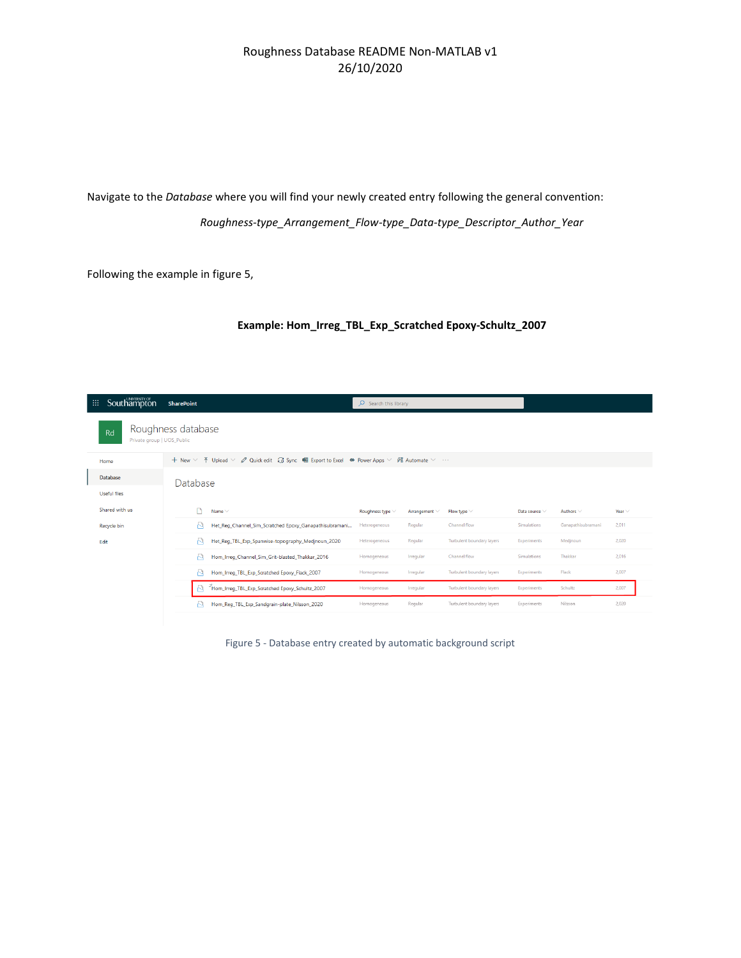Navigate to the *Database* where you will find your newly created entry following the general convention: *Roughness-type\_Arrangement\_Flow-type\_Data-type\_Descriptor\_Author\_Year*

Following the example in figure 5,

#### **Example: Hom\_Irreg\_TBL\_Exp\_Scratched Epoxy-Schultz\_2007**

| Southampton<br>'=                                      | <b>SharePoint</b>                                                                                                                                                                        | $O$ Search this library |             |                                  |                    |                    |             |  |  |
|--------------------------------------------------------|------------------------------------------------------------------------------------------------------------------------------------------------------------------------------------------|-------------------------|-------------|----------------------------------|--------------------|--------------------|-------------|--|--|
| Roughness database<br>Rd<br>Private group   UOS_Public |                                                                                                                                                                                          |                         |             |                                  |                    |                    |             |  |  |
| Home                                                   | + New $\vee$ $\bar{\uparrow}$ Upload $\vee$ $\varnothing$ Quick edit $\hat{G}$ Sync ( $\bigoplus$ Export to Excel $\bigcirc$ Power Apps $\vee$ $\mathscr{B}'_A$ Automate $\vee$ $\cdots$ |                         |             |                                  |                    |                    |             |  |  |
| <b>Database</b>                                        | Database                                                                                                                                                                                 |                         |             |                                  |                    |                    |             |  |  |
| <b>Useful files</b>                                    |                                                                                                                                                                                          |                         |             |                                  |                    |                    |             |  |  |
| Shared with us                                         | Name $\vee$                                                                                                                                                                              | Roughness type $\vee$   | Arrangement | Flow type $\vee$                 | Data source $\vee$ | Authors $\vee$     | Year $\vee$ |  |  |
| Recycle bin                                            | М<br>Het_Reg_Channel_Sim_Scratched Epoxy_Ganapathisubramani                                                                                                                              | Heterogeneous           | Regular     | Channel flow                     | Simulations        | Ganapathisubramani | 2.011       |  |  |
| Edit                                                   | R<br>Het Reg TBL Exp Spanwise-topography Medjnoun 2020                                                                                                                                   | Heterogeneous           | Regular     | Turbulent boundary layers        | Experiments        | Medinoun           | 2,020       |  |  |
|                                                        | R<br>Hom_Irreg_Channel_Sim_Grit-blasted_Thakkar_2016                                                                                                                                     | Homogeneous             | Irregular   | Channel flow                     | Simulations        | Thakkar            | 2,016       |  |  |
|                                                        | R<br>Hom_Irreq_TBL_Exp_Scratched Epoxy_Flack_2007                                                                                                                                        | Homogeneous             | Irregular   | <b>Turbulent boundary layers</b> | Experiments        | Flack              | 2.007       |  |  |
|                                                        | <sup>2</sup> Hom_Irreg_TBL_Exp_Scratched Epoxy_Schultz_2007                                                                                                                              | Homogeneous             | Irregular   | <b>Turbulent boundary layers</b> | Experiments        | Schultz            | 2,007       |  |  |
|                                                        | R<br>Hom_Reg_TBL_Exp_Sandgrain-plate_Nilsson_2020                                                                                                                                        | Homogeneous             | Regular     | Turbulent boundary layers        | Experiments        | Nilsson            | 2.020       |  |  |

Figure 5 - Database entry created by automatic background script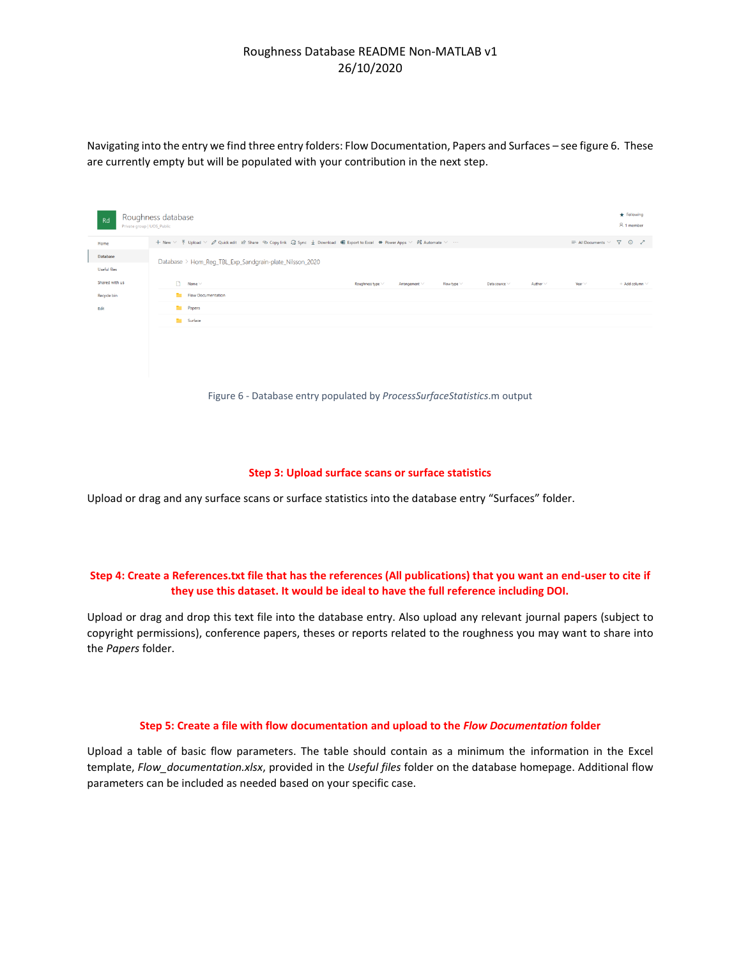Navigating into the entry we find three entry folders: Flow Documentation, Papers and Surfaces – see figure 6. These are currently empty but will be populated with your contribution in the next step.

| Rd                       | Roughness database<br>Private group   UOS_Public                                                                                                                               |                                        |                                        |                              |                       |  |  |
|--------------------------|--------------------------------------------------------------------------------------------------------------------------------------------------------------------------------|----------------------------------------|----------------------------------------|------------------------------|-----------------------|--|--|
| Home                     | + New √ T Upload √ Ø Quick edit Le Share © Copy link C Sync ↓ Download 咽 Export to Excel ∞ Power Apps √ 路 Automate √<br>$\equiv$ All Documents $\vee$ $\sqrt{ }$ (0 $\swarrow$ |                                        |                                        |                              |                       |  |  |
| Database<br>Useful files | Database > Hom_Reg_TBL_Exp_Sandgrain-plate_Nilsson_2020                                                                                                                        |                                        |                                        |                              |                       |  |  |
| Shared with us           | $\Box$ Name $\vee$                                                                                                                                                             | Roughness type $\vee$<br>Arrangement V | Flow type $\vee$<br>Data source $\vee$ | Year $\vee$<br>Author $\vee$ | $+$ Add column $\vee$ |  |  |
| Recycle bin              | Flow Documentation                                                                                                                                                             |                                        |                                        |                              |                       |  |  |
| Edit                     | <b>Papers</b>                                                                                                                                                                  |                                        |                                        |                              |                       |  |  |
|                          | Surface                                                                                                                                                                        |                                        |                                        |                              |                       |  |  |
|                          |                                                                                                                                                                                |                                        |                                        |                              |                       |  |  |
|                          |                                                                                                                                                                                |                                        |                                        |                              |                       |  |  |
|                          |                                                                                                                                                                                |                                        |                                        |                              |                       |  |  |
|                          |                                                                                                                                                                                |                                        |                                        |                              |                       |  |  |

Figure 6 - Database entry populated by *ProcessSurfaceStatistics*.m output

#### **Step 3: Upload surface scans or surface statistics**

Upload or drag and any surface scans or surface statistics into the database entry "Surfaces" folder.

#### **Step 4: Create a References.txt file that has the references (All publications) that you want an end-user to cite if they use this dataset. It would be ideal to have the full reference including DOI.**

Upload or drag and drop this text file into the database entry. Also upload any relevant journal papers (subject to copyright permissions), conference papers, theses or reports related to the roughness you may want to share into the *Papers* folder.

#### **Step 5: Create a file with flow documentation and upload to the** *Flow Documentation* **folder**

Upload a table of basic flow parameters. The table should contain as a minimum the information in the Excel template, *Flow\_documentation.xlsx*, provided in the *Useful files* folder on the database homepage. Additional flow parameters can be included as needed based on your specific case.